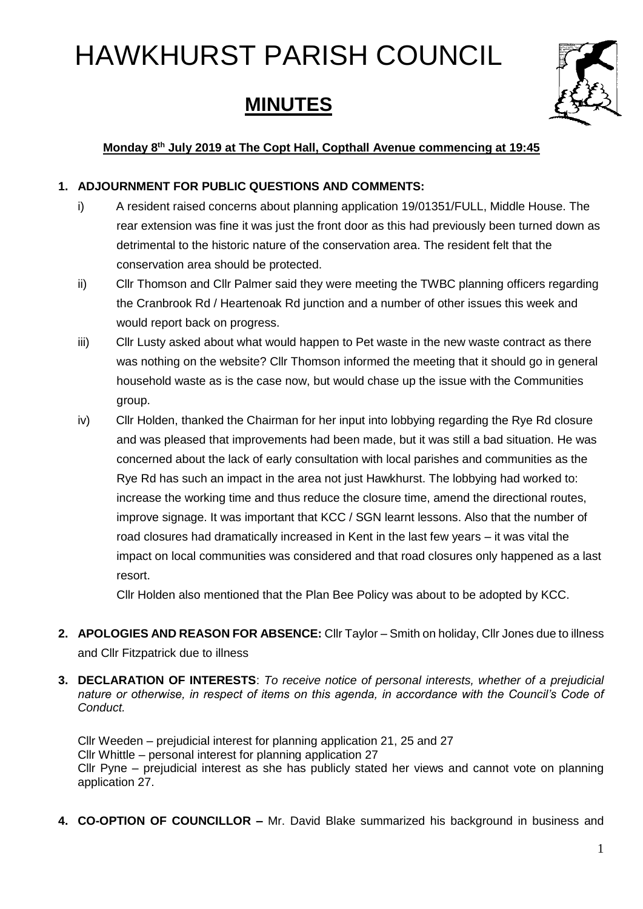# HAWKHURST PARISH COUNCIL

# **MINUTES**



# **Monday 8 th July 2019 at The Copt Hall, Copthall Avenue commencing at 19:45**

# **1. ADJOURNMENT FOR PUBLIC QUESTIONS AND COMMENTS:**

- i) A resident raised concerns about planning application 19/01351/FULL, Middle House. The rear extension was fine it was just the front door as this had previously been turned down as detrimental to the historic nature of the conservation area. The resident felt that the conservation area should be protected.
- ii) Cllr Thomson and Cllr Palmer said they were meeting the TWBC planning officers regarding the Cranbrook Rd / Heartenoak Rd junction and a number of other issues this week and would report back on progress.
- iii) Cllr Lusty asked about what would happen to Pet waste in the new waste contract as there was nothing on the website? Cllr Thomson informed the meeting that it should go in general household waste as is the case now, but would chase up the issue with the Communities group.
- iv) Cllr Holden, thanked the Chairman for her input into lobbying regarding the Rye Rd closure and was pleased that improvements had been made, but it was still a bad situation. He was concerned about the lack of early consultation with local parishes and communities as the Rye Rd has such an impact in the area not just Hawkhurst. The lobbying had worked to: increase the working time and thus reduce the closure time, amend the directional routes, improve signage. It was important that KCC / SGN learnt lessons. Also that the number of road closures had dramatically increased in Kent in the last few years – it was vital the impact on local communities was considered and that road closures only happened as a last resort.

Cllr Holden also mentioned that the Plan Bee Policy was about to be adopted by KCC.

- **2. APOLOGIES AND REASON FOR ABSENCE:** Cllr Taylor Smith on holiday, Cllr Jones due to illness and Cllr Fitzpatrick due to illness
- **3. DECLARATION OF INTERESTS**: *To receive notice of personal interests, whether of a prejudicial nature or otherwise, in respect of items on this agenda, in accordance with the Council's Code of Conduct.*

Cllr Weeden – prejudicial interest for planning application 21, 25 and 27 Cllr Whittle – personal interest for planning application 27 Cllr Pyne – prejudicial interest as she has publicly stated her views and cannot vote on planning application 27.

**4. CO-OPTION OF COUNCILLOR –** Mr. David Blake summarized his background in business and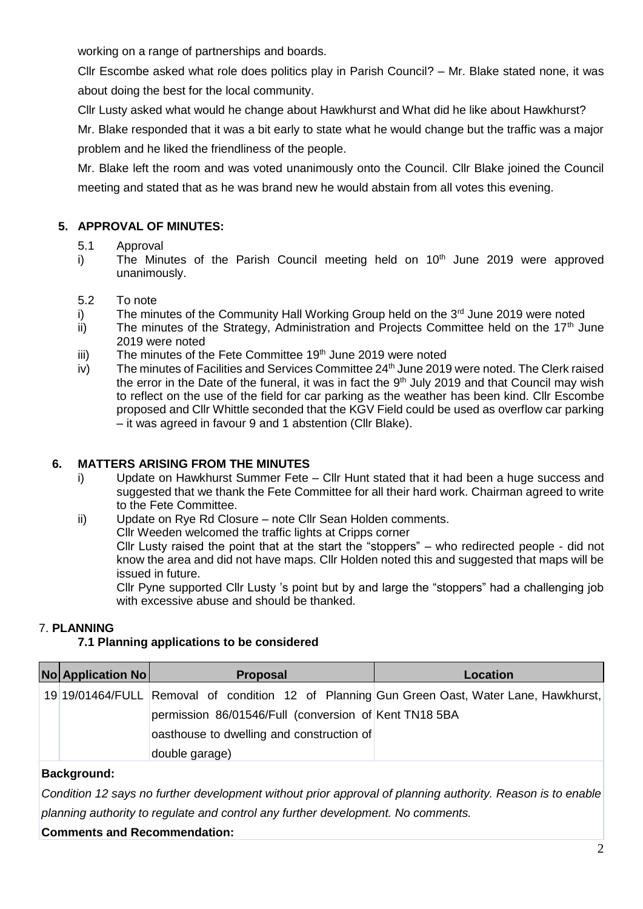working on a range of partnerships and boards.

Cllr Escombe asked what role does politics play in Parish Council? – Mr. Blake stated none, it was about doing the best for the local community.

Cllr Lusty asked what would he change about Hawkhurst and What did he like about Hawkhurst?

Mr. Blake responded that it was a bit early to state what he would change but the traffic was a major problem and he liked the friendliness of the people.

Mr. Blake left the room and was voted unanimously onto the Council. Cllr Blake joined the Council meeting and stated that as he was brand new he would abstain from all votes this evening.

# **5. APPROVAL OF MINUTES:**

#### 5.1 Approval

- i) The Minutes of the Parish Council meeting held on 10<sup>th</sup> June 2019 were approved unanimously.
- 5.2 To note
- i) The minutes of the Community Hall Working Group held on the  $3<sup>rd</sup>$  June 2019 were noted
- ii) The minutes of the Strategy, Administration and Projects Committee held on the 17<sup>th</sup> June 2019 were noted
- iii) The minutes of the Fete Committee  $19<sup>th</sup>$  June 2019 were noted
- $iv$ ) The minutes of Facilities and Services Committee 24<sup>th</sup> June 2019 were noted. The Clerk raised the error in the Date of the funeral, it was in fact the 9<sup>th</sup> July 2019 and that Council may wish to reflect on the use of the field for car parking as the weather has been kind. Cllr Escombe proposed and Cllr Whittle seconded that the KGV Field could be used as overflow car parking – it was agreed in favour 9 and 1 abstention (Cllr Blake).

# **6. MATTERS ARISING FROM THE MINUTES**

- i) Update on Hawkhurst Summer Fete Cllr Hunt stated that it had been a huge success and suggested that we thank the Fete Committee for all their hard work. Chairman agreed to write to the Fete Committee.
- ii) Update on Rye Rd Closure note Cllr Sean Holden comments.

Cllr Weeden welcomed the traffic lights at Cripps corner Cllr Lusty raised the point that at the start the "stoppers" – who redirected people - did not know the area and did not have maps. Cllr Holden noted this and suggested that maps will be issued in future.

Cllr Pyne supported Cllr Lusty 's point but by and large the "stoppers" had a challenging job with excessive abuse and should be thanked.

# 7. **PLANNING**

# **7.1 Planning applications to be considered**

| <b>No Application No</b> | <b>Proposal</b>                                       | Location                                                                                    |
|--------------------------|-------------------------------------------------------|---------------------------------------------------------------------------------------------|
|                          |                                                       | 19 19/01464/FULL Removal of condition 12 of Planning Gun Green Oast, Water Lane, Hawkhurst, |
|                          | permission 86/01546/Full (conversion of Kent TN18 5BA |                                                                                             |
|                          | oasthouse to dwelling and construction of             |                                                                                             |
|                          | double garage)                                        |                                                                                             |

# **Background:**

*Condition 12 says no further development without prior approval of planning authority. Reason is to enable planning authority to regulate and control any further development. No comments.*

#### **Comments and Recommendation:**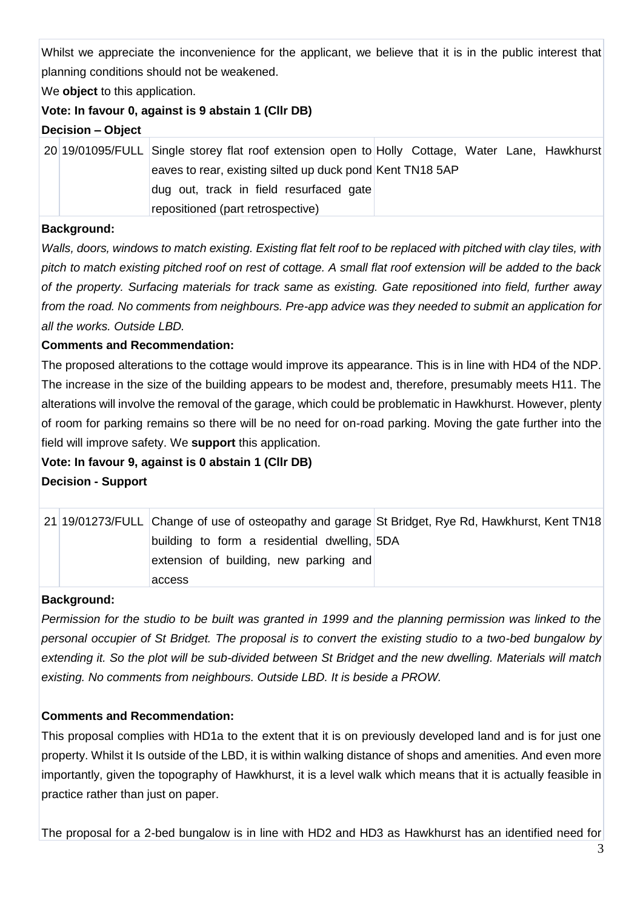Whilst we appreciate the inconvenience for the applicant, we believe that it is in the public interest that planning conditions should not be weakened.

We **object** to this application.

# **Vote: In favour 0, against is 9 abstain 1 (Cllr DB)**

**Decision – Object**

|  | 20 19/01095/FULL Single storey flat roof extension open to Holly Cottage, Water Lane, Hawkhurst |  |  |  |
|--|-------------------------------------------------------------------------------------------------|--|--|--|
|  | eaves to rear, existing silted up duck pond Kent TN18 5AP                                       |  |  |  |
|  | dug out, track in field resurfaced gate                                                         |  |  |  |
|  | repositioned (part retrospective)                                                               |  |  |  |

#### **Background:**

*Walls, doors, windows to match existing. Existing flat felt roof to be replaced with pitched with clay tiles, with pitch to match existing pitched roof on rest of cottage. A small flat roof extension will be added to the back of the property. Surfacing materials for track same as existing. Gate repositioned into field, further away from the road. No comments from neighbours. Pre-app advice was they needed to submit an application for all the works. Outside LBD.*

# **Comments and Recommendation:**

The proposed alterations to the cottage would improve its appearance. This is in line with HD4 of the NDP. The increase in the size of the building appears to be modest and, therefore, presumably meets H11. The alterations will involve the removal of the garage, which could be problematic in Hawkhurst. However, plenty of room for parking remains so there will be no need for on-road parking. Moving the gate further into the field will improve safety. We **support** this application.

# **Vote: In favour 9, against is 0 abstain 1 (Cllr DB)**

**Decision - Support**

|  |                                              | 21 19/01273/FULL Change of use of osteopathy and garage St Bridget, Rye Rd, Hawkhurst, Kent TN18 |
|--|----------------------------------------------|--------------------------------------------------------------------------------------------------|
|  | building to form a residential dwelling, 5DA |                                                                                                  |
|  | extension of building, new parking and       |                                                                                                  |
|  | access                                       |                                                                                                  |

# **Background:**

*Permission for the studio to be built was granted in 1999 and the planning permission was linked to the personal occupier of St Bridget. The proposal is to convert the existing studio to a two-bed bungalow by extending it. So the plot will be sub-divided between St Bridget and the new dwelling. Materials will match existing. No comments from neighbours. Outside LBD. It is beside a PROW.*

# **Comments and Recommendation:**

This proposal complies with HD1a to the extent that it is on previously developed land and is for just one property. Whilst it Is outside of the LBD, it is within walking distance of shops and amenities. And even more importantly, given the topography of Hawkhurst, it is a level walk which means that it is actually feasible in practice rather than just on paper.

The proposal for a 2-bed bungalow is in line with HD2 and HD3 as Hawkhurst has an identified need for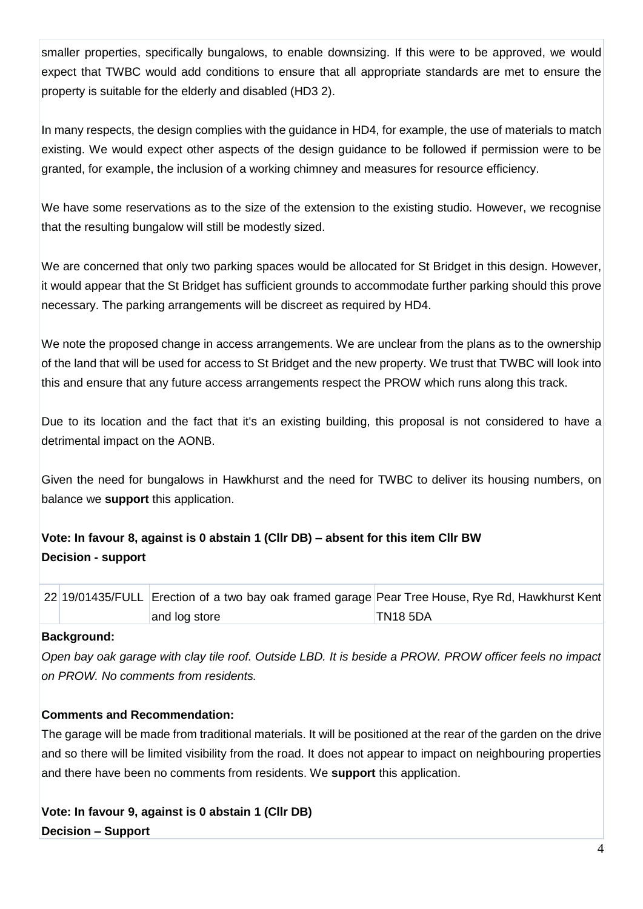smaller properties, specifically bungalows, to enable downsizing. If this were to be approved, we would expect that TWBC would add conditions to ensure that all appropriate standards are met to ensure the property is suitable for the elderly and disabled (HD3 2).

In many respects, the design complies with the guidance in HD4, for example, the use of materials to match existing. We would expect other aspects of the design guidance to be followed if permission were to be granted, for example, the inclusion of a working chimney and measures for resource efficiency.

We have some reservations as to the size of the extension to the existing studio. However, we recognise that the resulting bungalow will still be modestly sized.

We are concerned that only two parking spaces would be allocated for St Bridget in this design. However, it would appear that the St Bridget has sufficient grounds to accommodate further parking should this prove necessary. The parking arrangements will be discreet as required by HD4.

We note the proposed change in access arrangements. We are unclear from the plans as to the ownership of the land that will be used for access to St Bridget and the new property. We trust that TWBC will look into this and ensure that any future access arrangements respect the PROW which runs along this track.

Due to its location and the fact that it's an existing building, this proposal is not considered to have a detrimental impact on the AONB.

Given the need for bungalows in Hawkhurst and the need for TWBC to deliver its housing numbers, on balance we **support** this application.

# **Vote: In favour 8, against is 0 abstain 1 (Cllr DB) – absent for this item Cllr BW Decision - support**

22 19/01435/FULL Erection of a two bay oak framed garage Pear Tree House, Rye Rd, Hawkhurst Kent and log store TN18 5DA

# **Background:**

*Open bay oak garage with clay tile roof. Outside LBD. It is beside a PROW. PROW officer feels no impact on PROW. No comments from residents.*

# **Comments and Recommendation:**

The garage will be made from traditional materials. It will be positioned at the rear of the garden on the drive and so there will be limited visibility from the road. It does not appear to impact on neighbouring properties and there have been no comments from residents. We **support** this application.

**Vote: In favour 9, against is 0 abstain 1 (Cllr DB) Decision – Support**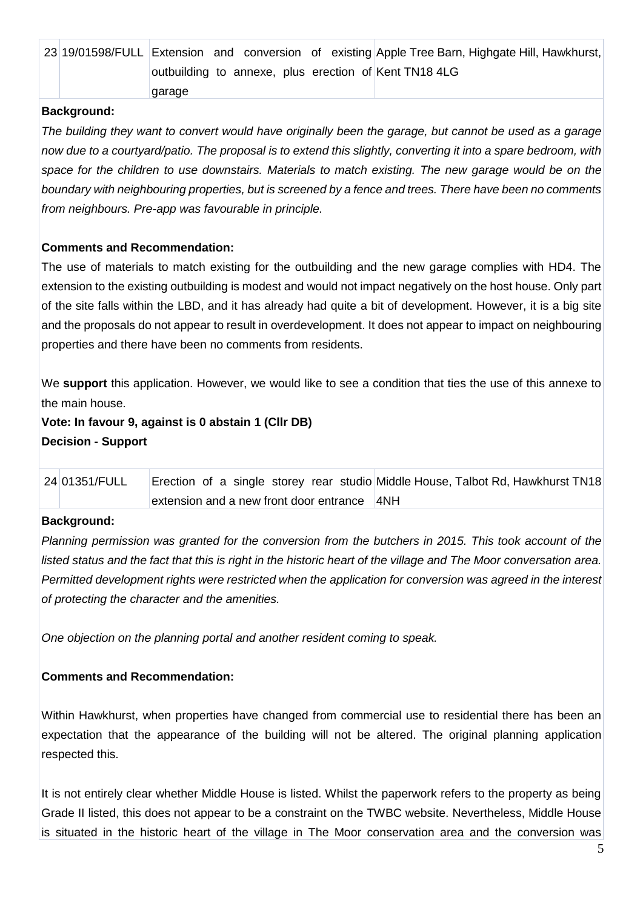|  |        |  |  |  | 23 19/01598/FULL Extension and conversion of existing Apple Tree Barn, Highgate Hill, Hawkhurst, |
|--|--------|--|--|--|--------------------------------------------------------------------------------------------------|
|  |        |  |  |  | outbuilding to annexe, plus erection of Kent TN18 4LG                                            |
|  | qaraqe |  |  |  |                                                                                                  |

#### **Background:**

*The building they want to convert would have originally been the garage, but cannot be used as a garage now due to a courtyard/patio. The proposal is to extend this slightly, converting it into a spare bedroom, with space for the children to use downstairs. Materials to match existing. The new garage would be on the boundary with neighbouring properties, but is screened by a fence and trees. There have been no comments from neighbours. Pre-app was favourable in principle.*

# **Comments and Recommendation:**

The use of materials to match existing for the outbuilding and the new garage complies with HD4. The extension to the existing outbuilding is modest and would not impact negatively on the host house. Only part of the site falls within the LBD, and it has already had quite a bit of development. However, it is a big site and the proposals do not appear to result in overdevelopment. It does not appear to impact on neighbouring properties and there have been no comments from residents.

We **support** this application. However, we would like to see a condition that ties the use of this annexe to the main house.

**Vote: In favour 9, against is 0 abstain 1 (Cllr DB) Decision - Support**

| 24 01351/FULL |                                             |  |  | Erection of a single storey rear studio Middle House, Talbot Rd, Hawkhurst TN18 |  |  |
|---------------|---------------------------------------------|--|--|---------------------------------------------------------------------------------|--|--|
|               | extension and a new front door entrance 4NH |  |  |                                                                                 |  |  |

#### **Background:**

*Planning permission was granted for the conversion from the butchers in 2015. This took account of the* listed status and the fact that this is right in the historic heart of the village and The Moor conversation area. *Permitted development rights were restricted when the application for conversion was agreed in the interest of protecting the character and the amenities.* 

*One objection on the planning portal and another resident coming to speak.*

# **Comments and Recommendation:**

Within Hawkhurst, when properties have changed from commercial use to residential there has been an expectation that the appearance of the building will not be altered. The original planning application respected this.

It is not entirely clear whether Middle House is listed. Whilst the paperwork refers to the property as being Grade II listed, this does not appear to be a constraint on the TWBC website. Nevertheless, Middle House is situated in the historic heart of the village in The Moor conservation area and the conversion was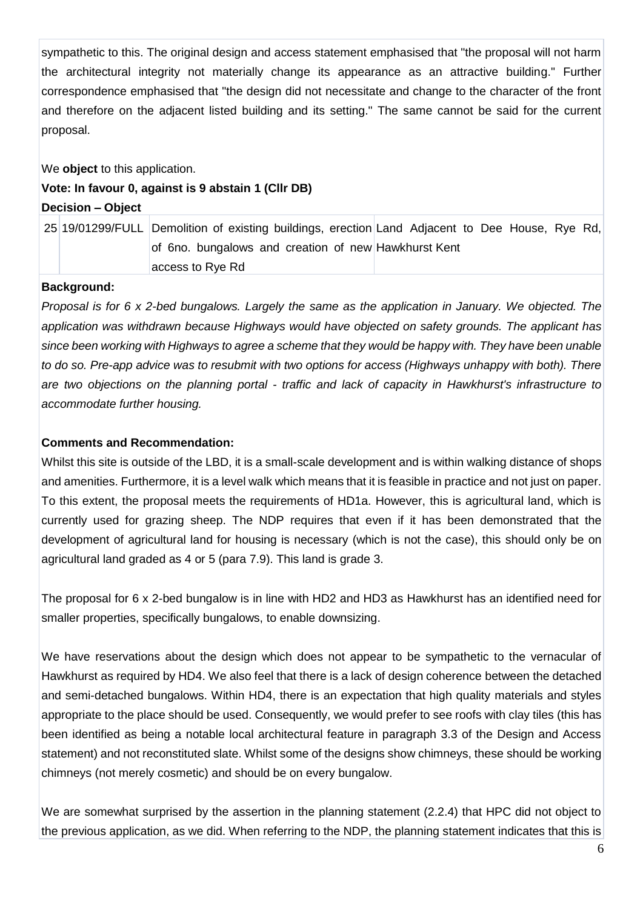sympathetic to this. The original design and access statement emphasised that "the proposal will not harm the architectural integrity not materially change its appearance as an attractive building." Further correspondence emphasised that "the design did not necessitate and change to the character of the front and therefore on the adjacent listed building and its setting." The same cannot be said for the current proposal.

We **object** to this application.

#### **Vote: In favour 0, against is 9 abstain 1 (Cllr DB)**

**Decision – Object**

25 19/01299/FULL Demolition of existing buildings, erection Land Adjacent to Dee House, Rye Rd, of 6no. bungalows and creation of new Hawkhurst Kent access to Rye Rd

#### **Background:**

*Proposal is for 6 x 2-bed bungalows. Largely the same as the application in January. We objected. The application was withdrawn because Highways would have objected on safety grounds. The applicant has since been working with Highways to agree a scheme that they would be happy with. They have been unable to do so. Pre-app advice was to resubmit with two options for access (Highways unhappy with both). There are two objections on the planning portal - traffic and lack of capacity in Hawkhurst's infrastructure to accommodate further housing.*

#### **Comments and Recommendation:**

Whilst this site is outside of the LBD, it is a small-scale development and is within walking distance of shops and amenities. Furthermore, it is a level walk which means that it is feasible in practice and not just on paper. To this extent, the proposal meets the requirements of HD1a. However, this is agricultural land, which is currently used for grazing sheep. The NDP requires that even if it has been demonstrated that the development of agricultural land for housing is necessary (which is not the case), this should only be on agricultural land graded as 4 or 5 (para 7.9). This land is grade 3.

The proposal for 6 x 2-bed bungalow is in line with HD2 and HD3 as Hawkhurst has an identified need for smaller properties, specifically bungalows, to enable downsizing.

We have reservations about the design which does not appear to be sympathetic to the vernacular of Hawkhurst as required by HD4. We also feel that there is a lack of design coherence between the detached and semi-detached bungalows. Within HD4, there is an expectation that high quality materials and styles appropriate to the place should be used. Consequently, we would prefer to see roofs with clay tiles (this has been identified as being a notable local architectural feature in paragraph 3.3 of the Design and Access statement) and not reconstituted slate. Whilst some of the designs show chimneys, these should be working chimneys (not merely cosmetic) and should be on every bungalow.

We are somewhat surprised by the assertion in the planning statement (2.2.4) that HPC did not object to the previous application, as we did. When referring to the NDP, the planning statement indicates that this is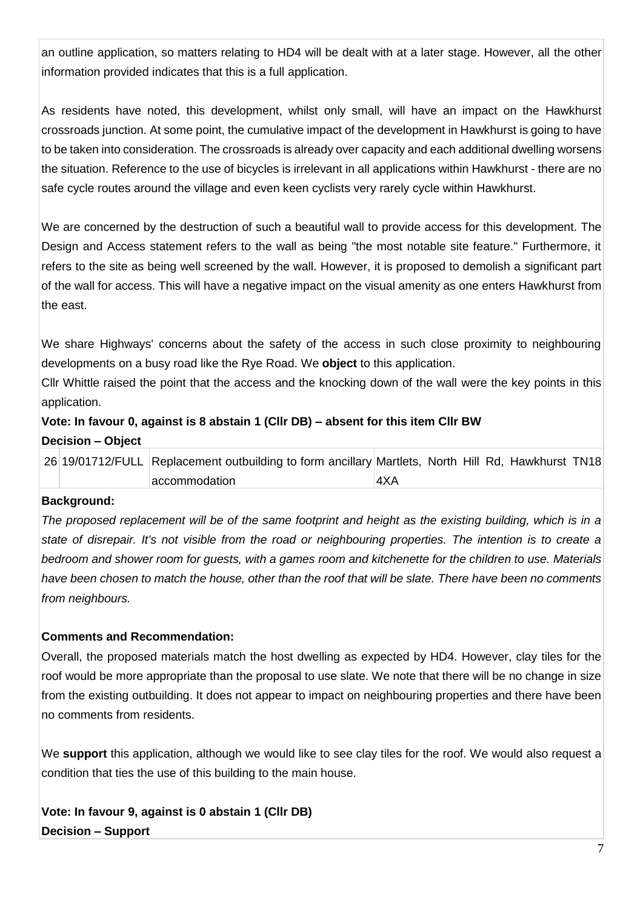an outline application, so matters relating to HD4 will be dealt with at a later stage. However, all the other information provided indicates that this is a full application.

As residents have noted, this development, whilst only small, will have an impact on the Hawkhurst crossroads junction. At some point, the cumulative impact of the development in Hawkhurst is going to have to be taken into consideration. The crossroads is already over capacity and each additional dwelling worsens the situation. Reference to the use of bicycles is irrelevant in all applications within Hawkhurst - there are no safe cycle routes around the village and even keen cyclists very rarely cycle within Hawkhurst.

We are concerned by the destruction of such a beautiful wall to provide access for this development. The Design and Access statement refers to the wall as being "the most notable site feature." Furthermore, it refers to the site as being well screened by the wall. However, it is proposed to demolish a significant part of the wall for access. This will have a negative impact on the visual amenity as one enters Hawkhurst from the east.

We share Highways' concerns about the safety of the access in such close proximity to neighbouring developments on a busy road like the Rye Road. We **object** to this application.

Cllr Whittle raised the point that the access and the knocking down of the wall were the key points in this application.

# **Vote: In favour 0, against is 8 abstain 1 (Cllr DB) – absent for this item Cllr BW Decision – Object**

|  | 26 19/01712/FULL Replacement outbuilding to form ancillary Martlets, North Hill Rd, Hawkhurst TN18 |     |  |  |  |
|--|----------------------------------------------------------------------------------------------------|-----|--|--|--|
|  | accommodation                                                                                      | 4XA |  |  |  |

# **Background:**

*The proposed replacement will be of the same footprint and height as the existing building, which is in a state of disrepair. It's not visible from the road or neighbouring properties. The intention is to create a bedroom and shower room for guests, with a games room and kitchenette for the children to use. Materials have been chosen to match the house, other than the roof that will be slate. There have been no comments from neighbours.*

# **Comments and Recommendation:**

Overall, the proposed materials match the host dwelling as expected by HD4. However, clay tiles for the roof would be more appropriate than the proposal to use slate. We note that there will be no change in size from the existing outbuilding. It does not appear to impact on neighbouring properties and there have been no comments from residents.

We **support** this application, although we would like to see clay tiles for the roof. We would also request a condition that ties the use of this building to the main house.

**Vote: In favour 9, against is 0 abstain 1 (Cllr DB) Decision – Support**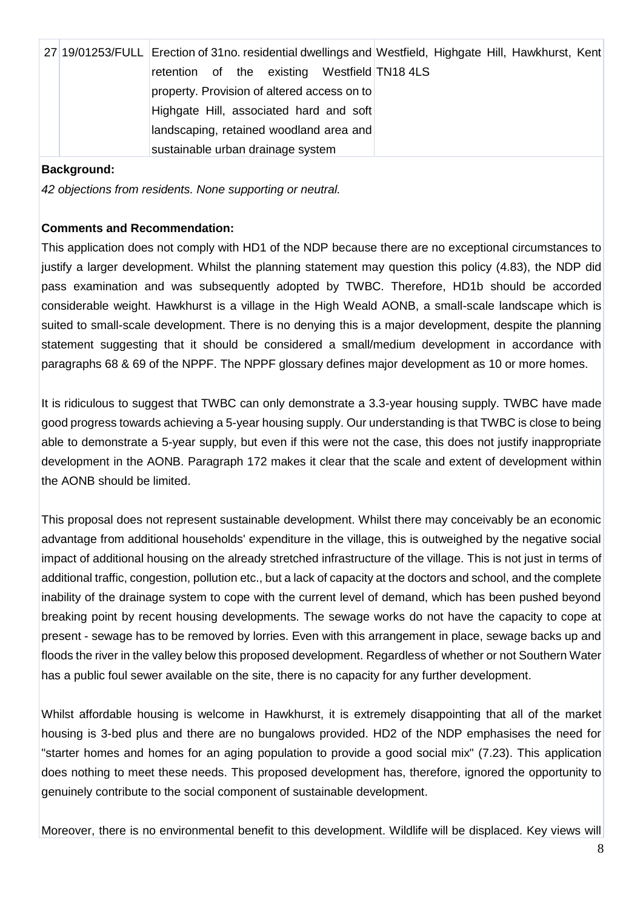|  | 27 19/01253/FULL Erection of 31no. residential dwellings and Westfield, Highgate Hill, Hawkhurst, Kent |
|--|--------------------------------------------------------------------------------------------------------|
|  | retention of the existing Westfield TN18 4LS                                                           |
|  | property. Provision of altered access on to                                                            |
|  | Highgate Hill, associated hard and soft                                                                |
|  | landscaping, retained woodland area and                                                                |
|  | sustainable urban drainage system                                                                      |

#### **Background:**

*42 objections from residents. None supporting or neutral.*

#### **Comments and Recommendation:**

This application does not comply with HD1 of the NDP because there are no exceptional circumstances to justify a larger development. Whilst the planning statement may question this policy (4.83), the NDP did pass examination and was subsequently adopted by TWBC. Therefore, HD1b should be accorded considerable weight. Hawkhurst is a village in the High Weald AONB, a small-scale landscape which is suited to small-scale development. There is no denying this is a major development, despite the planning statement suggesting that it should be considered a small/medium development in accordance with paragraphs 68 & 69 of the NPPF. The NPPF glossary defines major development as 10 or more homes.

It is ridiculous to suggest that TWBC can only demonstrate a 3.3-year housing supply. TWBC have made good progress towards achieving a 5-year housing supply. Our understanding is that TWBC is close to being able to demonstrate a 5-year supply, but even if this were not the case, this does not justify inappropriate development in the AONB. Paragraph 172 makes it clear that the scale and extent of development within the AONB should be limited.

This proposal does not represent sustainable development. Whilst there may conceivably be an economic advantage from additional households' expenditure in the village, this is outweighed by the negative social impact of additional housing on the already stretched infrastructure of the village. This is not just in terms of additional traffic, congestion, pollution etc., but a lack of capacity at the doctors and school, and the complete inability of the drainage system to cope with the current level of demand, which has been pushed beyond breaking point by recent housing developments. The sewage works do not have the capacity to cope at present - sewage has to be removed by lorries. Even with this arrangement in place, sewage backs up and floods the river in the valley below this proposed development. Regardless of whether or not Southern Water has a public foul sewer available on the site, there is no capacity for any further development.

Whilst affordable housing is welcome in Hawkhurst, it is extremely disappointing that all of the market housing is 3-bed plus and there are no bungalows provided. HD2 of the NDP emphasises the need for "starter homes and homes for an aging population to provide a good social mix" (7.23). This application does nothing to meet these needs. This proposed development has, therefore, ignored the opportunity to genuinely contribute to the social component of sustainable development.

Moreover, there is no environmental benefit to this development. Wildlife will be displaced. Key views will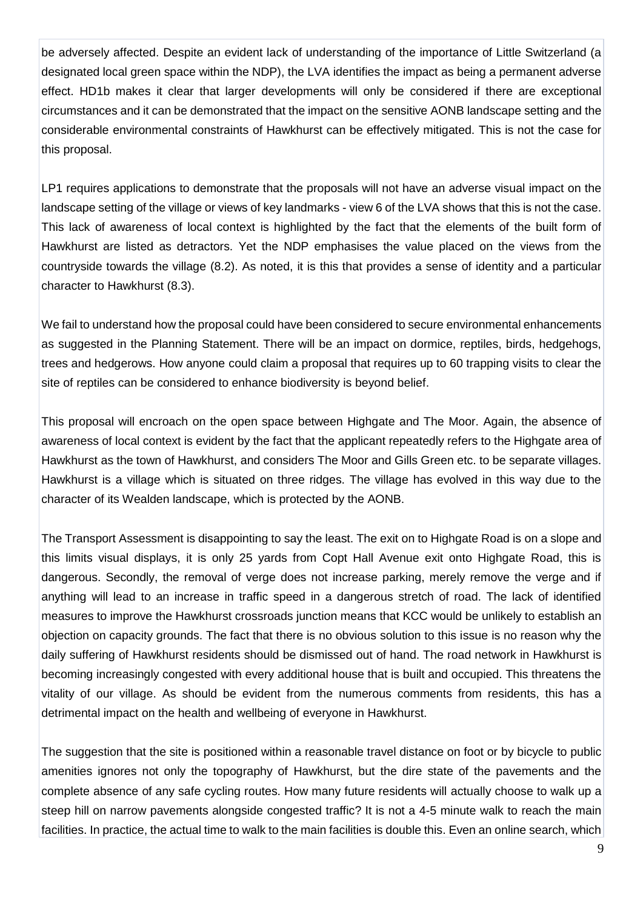be adversely affected. Despite an evident lack of understanding of the importance of Little Switzerland (a designated local green space within the NDP), the LVA identifies the impact as being a permanent adverse effect. HD1b makes it clear that larger developments will only be considered if there are exceptional circumstances and it can be demonstrated that the impact on the sensitive AONB landscape setting and the considerable environmental constraints of Hawkhurst can be effectively mitigated. This is not the case for this proposal.

LP1 requires applications to demonstrate that the proposals will not have an adverse visual impact on the landscape setting of the village or views of key landmarks - view 6 of the LVA shows that this is not the case. This lack of awareness of local context is highlighted by the fact that the elements of the built form of Hawkhurst are listed as detractors. Yet the NDP emphasises the value placed on the views from the countryside towards the village (8.2). As noted, it is this that provides a sense of identity and a particular character to Hawkhurst (8.3).

We fail to understand how the proposal could have been considered to secure environmental enhancements as suggested in the Planning Statement. There will be an impact on dormice, reptiles, birds, hedgehogs, trees and hedgerows. How anyone could claim a proposal that requires up to 60 trapping visits to clear the site of reptiles can be considered to enhance biodiversity is beyond belief.

This proposal will encroach on the open space between Highgate and The Moor. Again, the absence of awareness of local context is evident by the fact that the applicant repeatedly refers to the Highgate area of Hawkhurst as the town of Hawkhurst, and considers The Moor and Gills Green etc. to be separate villages. Hawkhurst is a village which is situated on three ridges. The village has evolved in this way due to the character of its Wealden landscape, which is protected by the AONB.

The Transport Assessment is disappointing to say the least. The exit on to Highgate Road is on a slope and this limits visual displays, it is only 25 yards from Copt Hall Avenue exit onto Highgate Road, this is dangerous. Secondly, the removal of verge does not increase parking, merely remove the verge and if anything will lead to an increase in traffic speed in a dangerous stretch of road. The lack of identified measures to improve the Hawkhurst crossroads junction means that KCC would be unlikely to establish an objection on capacity grounds. The fact that there is no obvious solution to this issue is no reason why the daily suffering of Hawkhurst residents should be dismissed out of hand. The road network in Hawkhurst is becoming increasingly congested with every additional house that is built and occupied. This threatens the vitality of our village. As should be evident from the numerous comments from residents, this has a detrimental impact on the health and wellbeing of everyone in Hawkhurst.

The suggestion that the site is positioned within a reasonable travel distance on foot or by bicycle to public amenities ignores not only the topography of Hawkhurst, but the dire state of the pavements and the complete absence of any safe cycling routes. How many future residents will actually choose to walk up a steep hill on narrow pavements alongside congested traffic? It is not a 4-5 minute walk to reach the main facilities. In practice, the actual time to walk to the main facilities is double this. Even an online search, which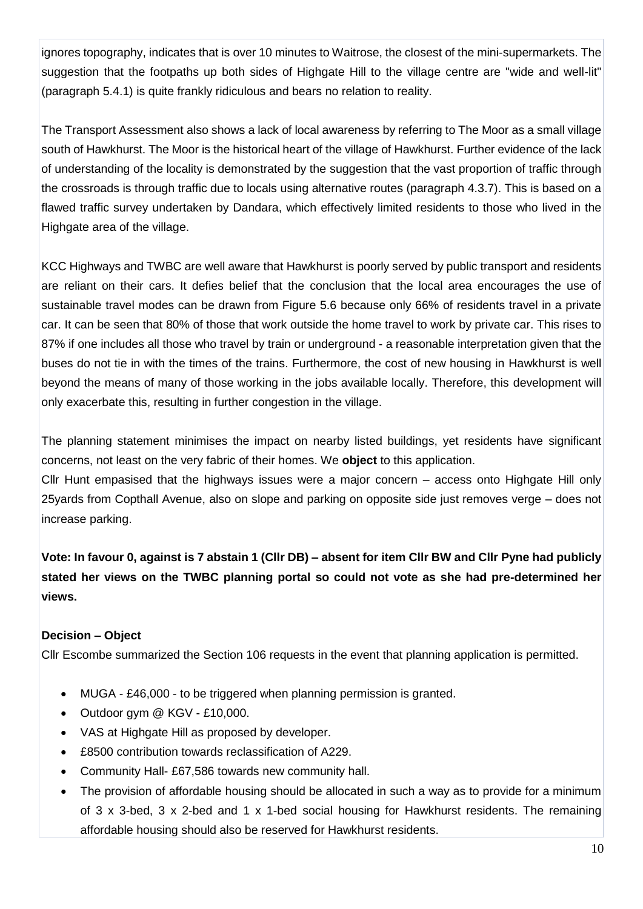ignores topography, indicates that is over 10 minutes to Waitrose, the closest of the mini-supermarkets. The suggestion that the footpaths up both sides of Highgate Hill to the village centre are "wide and well-lit" (paragraph 5.4.1) is quite frankly ridiculous and bears no relation to reality.

The Transport Assessment also shows a lack of local awareness by referring to The Moor as a small village south of Hawkhurst. The Moor is the historical heart of the village of Hawkhurst. Further evidence of the lack of understanding of the locality is demonstrated by the suggestion that the vast proportion of traffic through the crossroads is through traffic due to locals using alternative routes (paragraph 4.3.7). This is based on a flawed traffic survey undertaken by Dandara, which effectively limited residents to those who lived in the Highgate area of the village.

KCC Highways and TWBC are well aware that Hawkhurst is poorly served by public transport and residents are reliant on their cars. It defies belief that the conclusion that the local area encourages the use of sustainable travel modes can be drawn from Figure 5.6 because only 66% of residents travel in a private car. It can be seen that 80% of those that work outside the home travel to work by private car. This rises to 87% if one includes all those who travel by train or underground - a reasonable interpretation given that the buses do not tie in with the times of the trains. Furthermore, the cost of new housing in Hawkhurst is well beyond the means of many of those working in the jobs available locally. Therefore, this development will only exacerbate this, resulting in further congestion in the village.

The planning statement minimises the impact on nearby listed buildings, yet residents have significant concerns, not least on the very fabric of their homes. We **object** to this application.

Cllr Hunt empasised that the highways issues were a major concern – access onto Highgate Hill only 25yards from Copthall Avenue, also on slope and parking on opposite side just removes verge – does not increase parking.

**Vote: In favour 0, against is 7 abstain 1 (Cllr DB) – absent for item Cllr BW and Cllr Pyne had publicly stated her views on the TWBC planning portal so could not vote as she had pre-determined her views.**

# **Decision – Object**

Cllr Escombe summarized the Section 106 requests in the event that planning application is permitted.

- MUGA £46,000 to be triggered when planning permission is granted.
- Outdoor gym @ KGV £10,000.
- VAS at Highgate Hill as proposed by developer.
- £8500 contribution towards reclassification of A229.
- Community Hall- £67,586 towards new community hall.
- The provision of affordable housing should be allocated in such a way as to provide for a minimum of 3 x 3-bed, 3 x 2-bed and 1 x 1-bed social housing for Hawkhurst residents. The remaining affordable housing should also be reserved for Hawkhurst residents.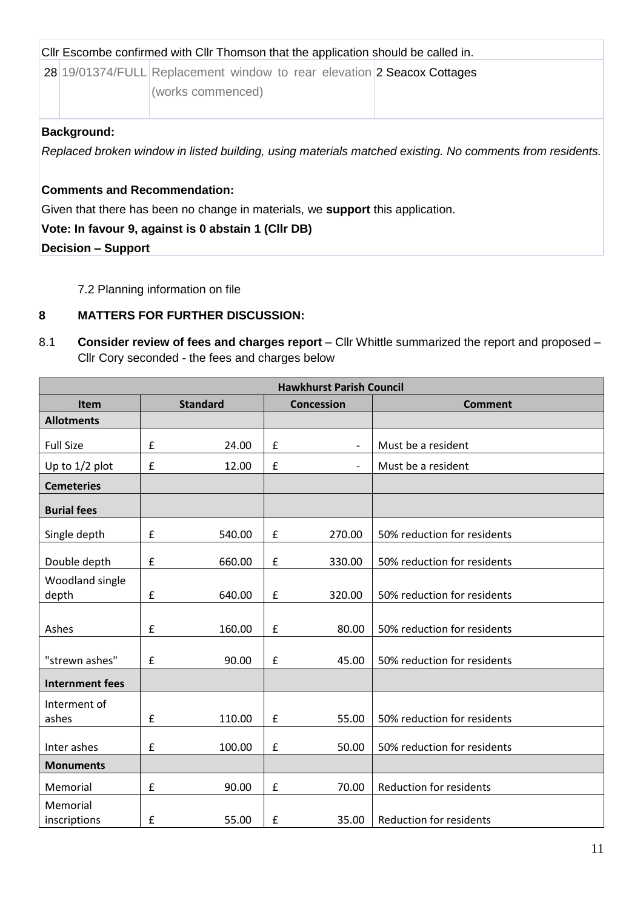| CIIr Escombe confirmed with CIIr Thomson that the application should be called in. |                                                                                              |                                                                                                          |  |  |  |  |  |  |  |
|------------------------------------------------------------------------------------|----------------------------------------------------------------------------------------------|----------------------------------------------------------------------------------------------------------|--|--|--|--|--|--|--|
|                                                                                    | 28 19/01374/FULL Replacement window to rear elevation 2 Seacox Cottages<br>(works commenced) |                                                                                                          |  |  |  |  |  |  |  |
| <b>Background:</b>                                                                 |                                                                                              | Replaced broken window in listed building, using materials matched existing. No comments from residents. |  |  |  |  |  |  |  |

# **Comments and Recommendation:**

Given that there has been no change in materials, we **support** this application.

# **Vote: In favour 9, against is 0 abstain 1 (Cllr DB)**

**Decision – Support**

7.2 Planning information on file

# **8 MATTERS FOR FURTHER DISCUSSION:**

8.1 **Consider review of fees and charges report** – Cllr Whittle summarized the report and proposed – Cllr Cory seconded - the fees and charges below

|                          | <b>Hawkhurst Parish Council</b> |                 |                    |                          |                                |  |  |  |  |  |
|--------------------------|---------------------------------|-----------------|--------------------|--------------------------|--------------------------------|--|--|--|--|--|
| <b>Item</b>              |                                 | <b>Standard</b> |                    | <b>Concession</b>        | <b>Comment</b>                 |  |  |  |  |  |
| <b>Allotments</b>        |                                 |                 |                    |                          |                                |  |  |  |  |  |
| <b>Full Size</b>         | $\pmb{\mathsf{f}}$              | 24.00           | £                  | $\overline{\phantom{a}}$ | Must be a resident             |  |  |  |  |  |
| Up to 1/2 plot           | £                               | 12.00           | £                  | $\overline{\phantom{a}}$ | Must be a resident             |  |  |  |  |  |
| <b>Cemeteries</b>        |                                 |                 |                    |                          |                                |  |  |  |  |  |
| <b>Burial fees</b>       |                                 |                 |                    |                          |                                |  |  |  |  |  |
| Single depth             | £                               | 540.00          | £                  | 270.00                   | 50% reduction for residents    |  |  |  |  |  |
| Double depth             | $\pmb{\mathsf{f}}$              | 660.00          | $\pmb{\mathsf{f}}$ | 330.00                   | 50% reduction for residents    |  |  |  |  |  |
| Woodland single<br>depth | $\pmb{\mathsf{f}}$              | 640.00          | £                  | 320.00                   | 50% reduction for residents    |  |  |  |  |  |
| Ashes                    | $\pmb{\mathsf{f}}$              | 160.00          | £                  | 80.00                    | 50% reduction for residents    |  |  |  |  |  |
| "strewn ashes"           | £                               | 90.00           | £                  | 45.00                    | 50% reduction for residents    |  |  |  |  |  |
| <b>Internment fees</b>   |                                 |                 |                    |                          |                                |  |  |  |  |  |
| Interment of<br>ashes    | $\pmb{\mathsf{f}}$              | 110.00          | £                  | 55.00                    | 50% reduction for residents    |  |  |  |  |  |
| Inter ashes              | £                               | 100.00          | £                  | 50.00                    | 50% reduction for residents    |  |  |  |  |  |
| <b>Monuments</b>         |                                 |                 |                    |                          |                                |  |  |  |  |  |
| Memorial                 | $\pmb{\mathsf{f}}$              | 90.00           | £                  | 70.00                    | <b>Reduction for residents</b> |  |  |  |  |  |
| Memorial<br>inscriptions | £                               | 55.00           | £                  | 35.00                    | <b>Reduction for residents</b> |  |  |  |  |  |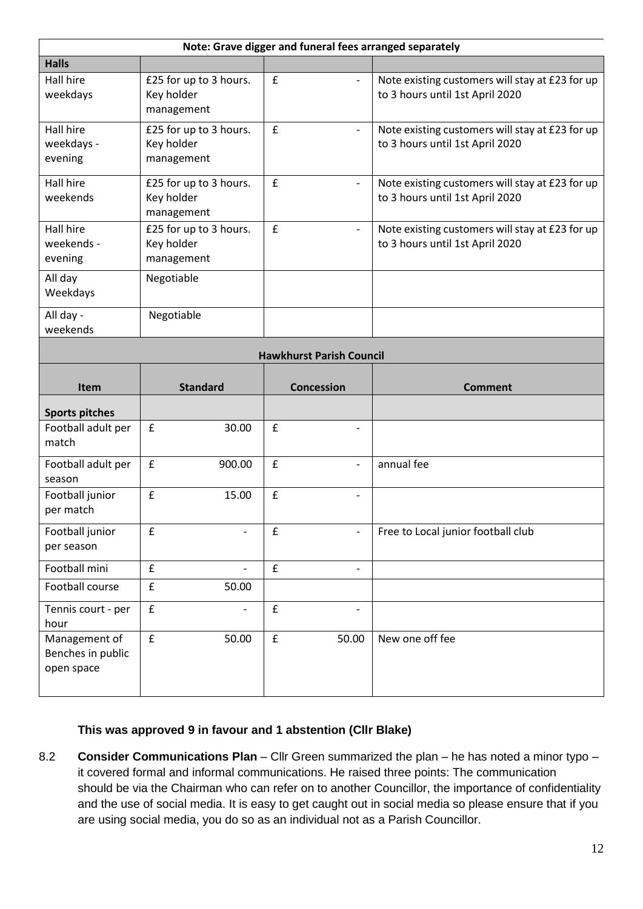|                                    |                                                    |                    |                                 | Note: Grave digger and funeral fees arranged separately                            |
|------------------------------------|----------------------------------------------------|--------------------|---------------------------------|------------------------------------------------------------------------------------|
| <b>Halls</b>                       |                                                    |                    |                                 |                                                                                    |
| Hall hire<br>weekdays              | £25 for up to 3 hours.<br>Key holder<br>management | £                  | $\overline{\phantom{a}}$        | Note existing customers will stay at £23 for up<br>to 3 hours until 1st April 2020 |
| Hall hire<br>weekdays -<br>evening | £25 for up to 3 hours.<br>Key holder<br>management | £                  | $\overline{\phantom{0}}$        | Note existing customers will stay at £23 for up<br>to 3 hours until 1st April 2020 |
| Hall hire<br>weekends              | £25 for up to 3 hours.<br>Key holder<br>management | $\pmb{\mathsf{f}}$ | $\overline{\phantom{0}}$        | Note existing customers will stay at £23 for up<br>to 3 hours until 1st April 2020 |
| Hall hire<br>weekends -<br>evening | £25 for up to 3 hours.<br>Key holder<br>management | £                  | $\overline{\phantom{a}}$        | Note existing customers will stay at £23 for up<br>to 3 hours until 1st April 2020 |
| All day<br>Weekdays                | Negotiable                                         |                    |                                 |                                                                                    |
| All day -<br>weekends              | Negotiable                                         |                    |                                 |                                                                                    |
|                                    |                                                    |                    | <b>Hawkhurst Parish Council</b> |                                                                                    |
|                                    |                                                    |                    |                                 |                                                                                    |
| Item                               | <b>Standard</b>                                    |                    | <b>Concession</b>               | <b>Comment</b>                                                                     |
| <b>Sports pitches</b>              |                                                    |                    |                                 |                                                                                    |
| Football adult per<br>match        | $\pmb{\mathsf{f}}$<br>30.00                        | £                  | $\overline{\phantom{0}}$        |                                                                                    |
| Football adult per<br>season       | £<br>900.00                                        | £                  | $\overline{\phantom{a}}$        | annual fee                                                                         |
| Football junior<br>per match       | £<br>15.00                                         | $\pmb{\mathsf{f}}$ | $\overline{\phantom{0}}$        |                                                                                    |
| Football junior<br>per season      | $\pmb{\mathsf{f}}$<br>$\overline{a}$               | £                  | $\overline{\phantom{a}}$        | Free to Local junior football club                                                 |
| Football mini                      | £                                                  | £                  | $\overline{\phantom{0}}$        |                                                                                    |
| Football course                    | £<br>50.00                                         |                    |                                 |                                                                                    |
| Tennis court - per<br>hour         | £<br>$\overline{\phantom{0}}$<br>£                 | £                  | $\qquad \qquad -$               |                                                                                    |

# **This was approved 9 in favour and 1 abstention (Cllr Blake)**

8.2 **Consider Communications Plan** – Cllr Green summarized the plan – he has noted a minor typo – it covered formal and informal communications. He raised three points: The communication should be via the Chairman who can refer on to another Councillor, the importance of confidentiality and the use of social media. It is easy to get caught out in social media so please ensure that if you are using social media, you do so as an individual not as a Parish Councillor.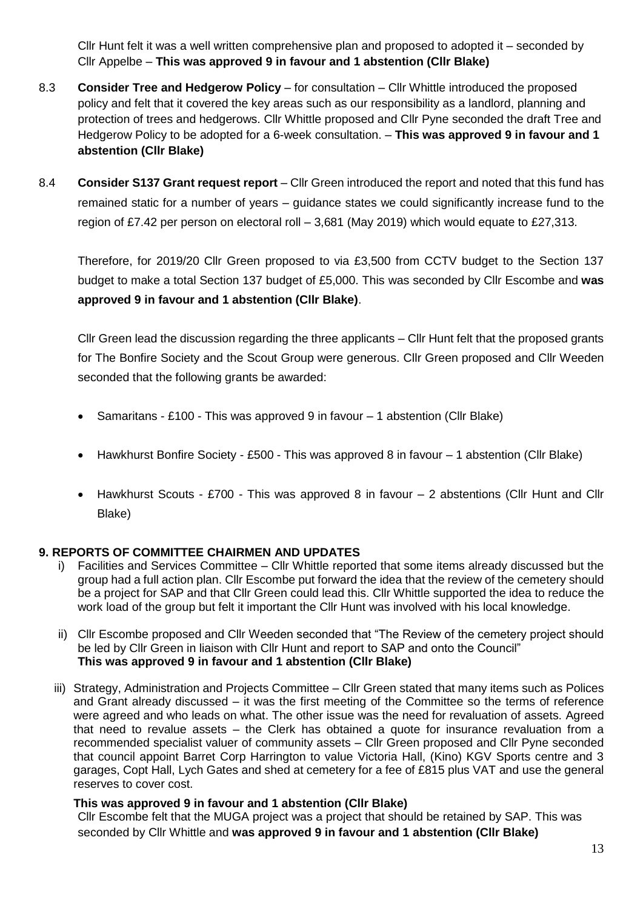Cllr Hunt felt it was a well written comprehensive plan and proposed to adopted it – seconded by Cllr Appelbe – **This was approved 9 in favour and 1 abstention (Cllr Blake)**

- 8.3 **Consider Tree and Hedgerow Policy** for consultation Cllr Whittle introduced the proposed policy and felt that it covered the key areas such as our responsibility as a landlord, planning and protection of trees and hedgerows. Cllr Whittle proposed and Cllr Pyne seconded the draft Tree and Hedgerow Policy to be adopted for a 6-week consultation. – **This was approved 9 in favour and 1 abstention (Cllr Blake)**
- 8.4 **Consider S137 Grant request report** Cllr Green introduced the report and noted that this fund has remained static for a number of years – guidance states we could significantly increase fund to the region of £7.42 per person on electoral roll – 3,681 (May 2019) which would equate to £27,313.

Therefore, for 2019/20 Cllr Green proposed to via £3,500 from CCTV budget to the Section 137 budget to make a total Section 137 budget of £5,000. This was seconded by Cllr Escombe and **was approved 9 in favour and 1 abstention (Cllr Blake)**.

Cllr Green lead the discussion regarding the three applicants – Cllr Hunt felt that the proposed grants for The Bonfire Society and the Scout Group were generous. Cllr Green proposed and Cllr Weeden seconded that the following grants be awarded:

- Samaritans £100 This was approved 9 in favour 1 abstention (Cllr Blake)
- Hawkhurst Bonfire Society £500 This was approved 8 in favour 1 abstention (Cllr Blake)
- Hawkhurst Scouts £700 This was approved 8 in favour 2 abstentions (Cllr Hunt and Cllr Blake)

# **9. REPORTS OF COMMITTEE CHAIRMEN AND UPDATES**

- i) Facilities and Services Committee Cllr Whittle reported that some items already discussed but the group had a full action plan. Cllr Escombe put forward the idea that the review of the cemetery should be a project for SAP and that Cllr Green could lead this. Cllr Whittle supported the idea to reduce the work load of the group but felt it important the Cllr Hunt was involved with his local knowledge.
- ii) Cllr Escombe proposed and Cllr Weeden seconded that "The Review of the cemetery project should be led by Cllr Green in liaison with Cllr Hunt and report to SAP and onto the Council" **This was approved 9 in favour and 1 abstention (Cllr Blake)**
- iii) Strategy, Administration and Projects Committee Cllr Green stated that many items such as Polices and Grant already discussed – it was the first meeting of the Committee so the terms of reference were agreed and who leads on what. The other issue was the need for revaluation of assets. Agreed that need to revalue assets – the Clerk has obtained a quote for insurance revaluation from a recommended specialist valuer of community assets – Cllr Green proposed and Cllr Pyne seconded that council appoint Barret Corp Harrington to value Victoria Hall, (Kino) KGV Sports centre and 3 garages, Copt Hall, Lych Gates and shed at cemetery for a fee of £815 plus VAT and use the general reserves to cover cost.

# **This was approved 9 in favour and 1 abstention (Cllr Blake)**

Cllr Escombe felt that the MUGA project was a project that should be retained by SAP. This was seconded by Cllr Whittle and **was approved 9 in favour and 1 abstention (Cllr Blake)**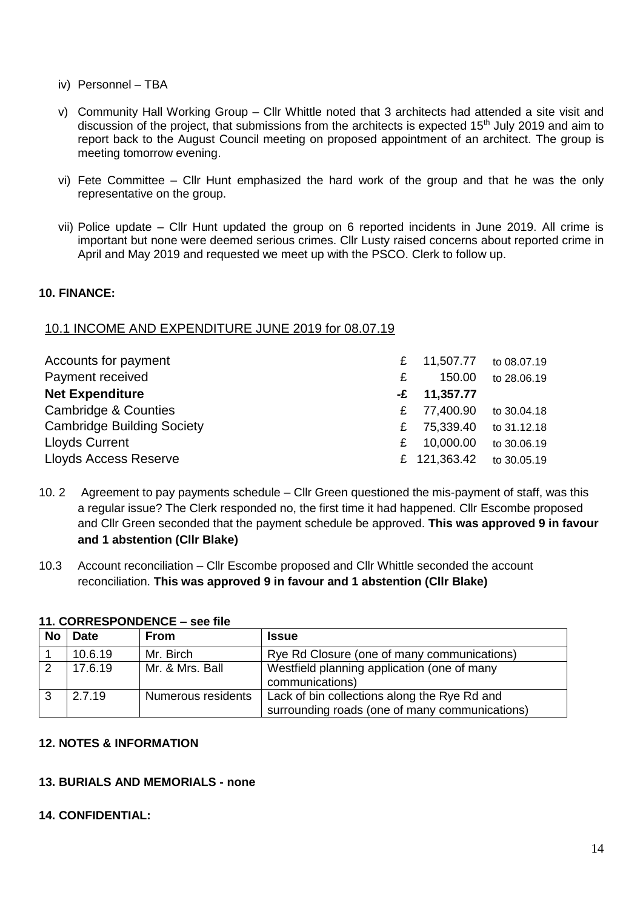- iv) Personnel TBA
- v) Community Hall Working Group Cllr Whittle noted that 3 architects had attended a site visit and discussion of the project, that submissions from the architects is expected 15<sup>th</sup> July 2019 and aim to report back to the August Council meeting on proposed appointment of an architect. The group is meeting tomorrow evening.
- vi) Fete Committee Cllr Hunt emphasized the hard work of the group and that he was the only representative on the group.
- vii) Police update Cllr Hunt updated the group on 6 reported incidents in June 2019. All crime is important but none were deemed serious crimes. Cllr Lusty raised concerns about reported crime in April and May 2019 and requested we meet up with the PSCO. Clerk to follow up.

# **10. FINANCE:**

# 10.1 INCOME AND EXPENDITURE JUNE 2019 for 08.07.19

| Accounts for payment              |   | £ 11,507.77 to 08.07.19  |             |
|-----------------------------------|---|--------------------------|-------------|
| Payment received                  | £ | 150.00                   | to 28.06.19 |
| <b>Net Expenditure</b>            |   | $-E$ 11,357.77           |             |
| Cambridge & Counties              | £ | 77,400.90 to 30.04.18    |             |
| <b>Cambridge Building Society</b> | £ | 75,339.40 to 31.12.18    |             |
| <b>Lloyds Current</b>             | £ | 10,000.00                | to 30.06.19 |
| Lloyds Access Reserve             |   | £ 121,363.42 to 30.05.19 |             |

- 10. 2 Agreement to pay payments schedule Cllr Green questioned the mis-payment of staff, was this a regular issue? The Clerk responded no, the first time it had happened. Cllr Escombe proposed and Cllr Green seconded that the payment schedule be approved. **This was approved 9 in favour and 1 abstention (Cllr Blake)**
- 10.3 Account reconciliation Cllr Escombe proposed and Cllr Whittle seconded the account reconciliation. **This was approved 9 in favour and 1 abstention (Cllr Blake)**

#### **11. CORRESPONDENCE – see file**

| <b>No</b> | Date    | <b>From</b>        | <b>Issue</b>                                                   |
|-----------|---------|--------------------|----------------------------------------------------------------|
|           | 10.6.19 | Mr. Birch          | Rye Rd Closure (one of many communications)                    |
|           | 17.6.19 | Mr. & Mrs. Ball    | Westfield planning application (one of many<br>communications) |
|           | 2.7.19  | Numerous residents | Lack of bin collections along the Rye Rd and                   |
|           |         |                    | surrounding roads (one of many communications)                 |

#### **12. NOTES & INFORMATION**

# **13. BURIALS AND MEMORIALS - none**

#### **14. CONFIDENTIAL:**